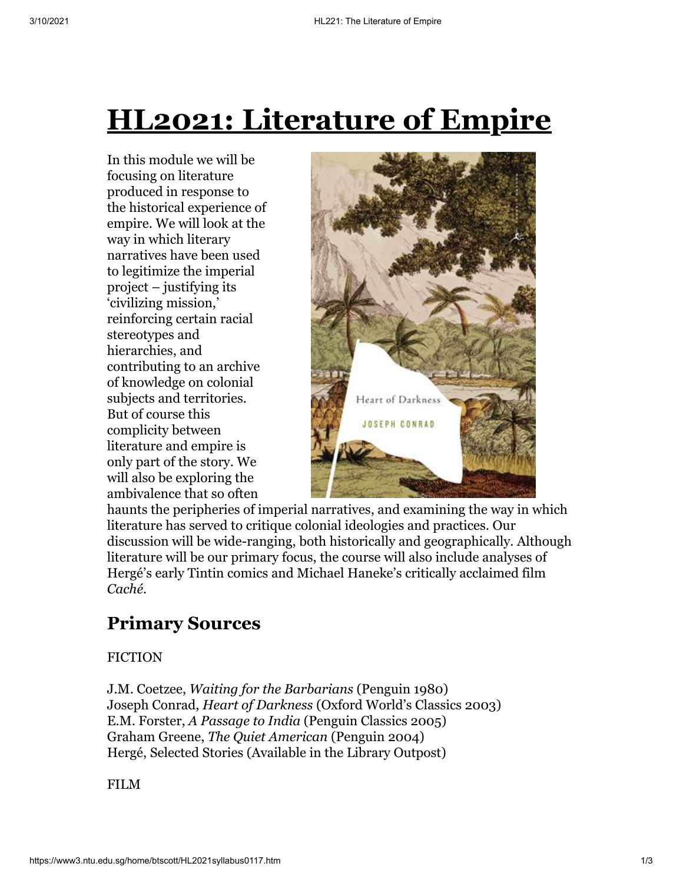# **HL2021: Literature of Empire**

In this module we will be focusing on literature produced in response to the historical experience of empire. We will look at the way in which literary narratives have been used to legitimize the imperial project – justifying its 'civilizing mission,' reinforcing certain racial stereotypes and hierarchies, and contributing to an archive of knowledge on colonial subjects and territories. But of course this complicity between literature and empire is only part of the story. We will also be exploring the ambivalence that so often



haunts the peripheries of imperial narratives, and examining the way in which literature has served to critique colonial ideologies and practices. Our discussion will be wide-ranging, both historically and geographically. Although literature will be our primary focus, the course will also include analyses of Hergé's early Tintin comics and Michael Haneke's critically acclaimed film *Caché*.

## **Primary Sources**

#### FICTION

J.M. Coetzee, *Waiting for the Barbarians* (Penguin 1980) Joseph Conrad, *Heart of Darkness* (Oxford World's Classics 2003) E.M. Forster, *A Passage to India* (Penguin Classics 2005) Graham Greene, *The Quiet American* (Penguin 2004) Hergé, Selected Stories (Available in the Library Outpost)

FILM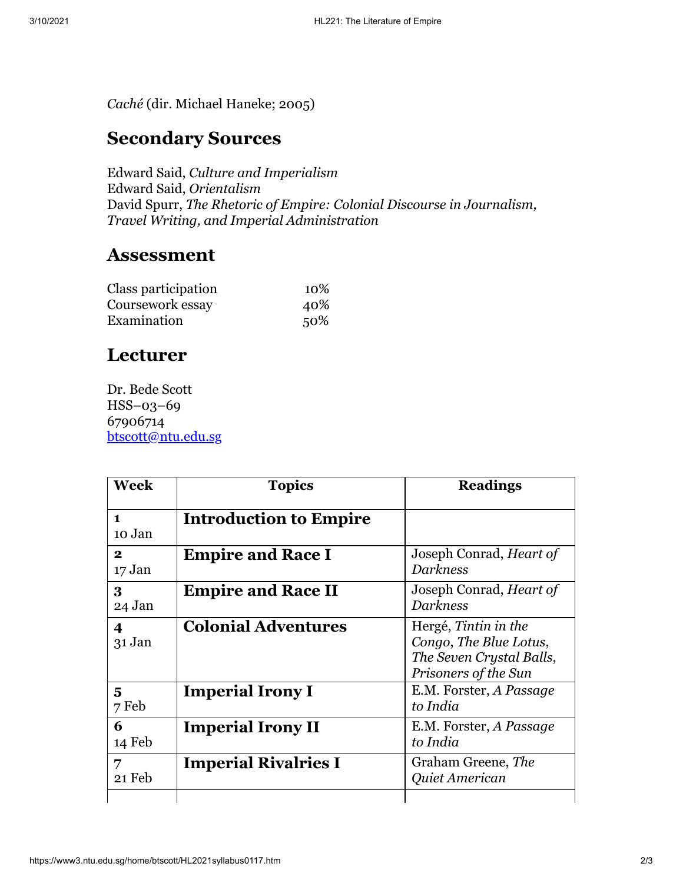*Caché* (dir. Michael Haneke; 2005)

### **Secondary Sources**

Edward Said, *Culture and Imperialism* Edward Said, *Orientalism* David Spurr, *The Rhetoric of Empire: Colonial Discourse in Journalism, Travel Writing, and Imperial Administration*

#### **Assessment**

| Class participation | 10% |
|---------------------|-----|
| Coursework essay    | 40% |
| Examination         | 50% |

### **Lecturer**

Dr. Bede Scott HSS–03–69 67906714 [btscott@ntu.edu.sg](mailto:btscott@ntu.edu.sg)

| Week                   | <b>Topics</b>                 | <b>Readings</b>                                                                                    |
|------------------------|-------------------------------|----------------------------------------------------------------------------------------------------|
| $\mathbf{1}$<br>10 Jan | <b>Introduction to Empire</b> |                                                                                                    |
| $\mathbf{2}$<br>17 Jan | <b>Empire and Race I</b>      | Joseph Conrad, <i>Heart of</i><br><b>Darkness</b>                                                  |
| 3<br>24 Jan            | <b>Empire and Race II</b>     | Joseph Conrad, <i>Heart of</i><br><b>Darkness</b>                                                  |
| 4<br>$31$ Jan          | <b>Colonial Adventures</b>    | Hergé, Tintin in the<br>Congo, The Blue Lotus,<br>The Seven Crystal Balls,<br>Prisoners of the Sun |
| 5<br>7 Feb             | <b>Imperial Irony I</b>       | E.M. Forster, A Passage<br>to India                                                                |
| 6<br>14 Feb            | <b>Imperial Irony II</b>      | E.M. Forster, A Passage<br>to India                                                                |
| 7<br>21 Feb            | <b>Imperial Rivalries I</b>   | Graham Greene, The<br>Quiet American                                                               |